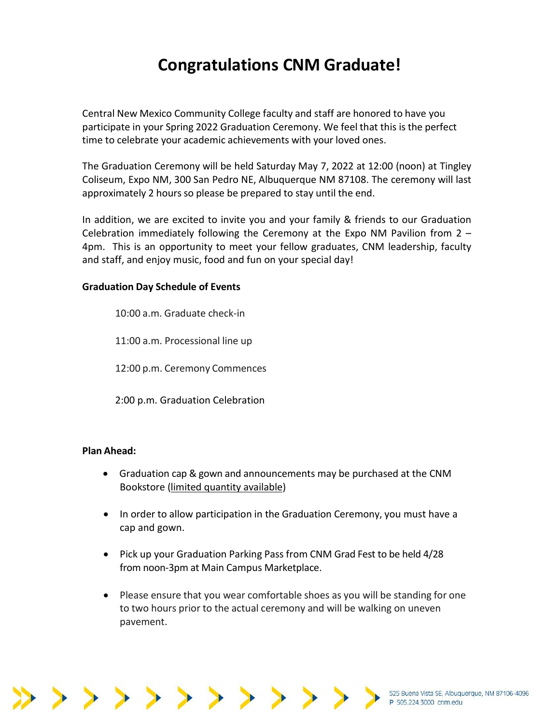# **Congratulations CNM Graduate!**

Central New Mexico Community College faculty and staff are honored to have you participate in your Spring 2022 Graduation Ceremony. We feel that this is the perfect time to celebrate your academic achievements with your loved ones.

The Graduation Ceremony will be held Saturday May 7, 2022 at 12:00 (noon) at Tingley Coliseum, Expo NM, 300 San Pedro NE, Albuquerque NM 87108. The ceremony will last approximately 2 hours so please be prepared to stay until the end.

In addition, we are excited to invite you and your family & friends to our Graduation Celebration immediately following the Ceremony at the Expo NM Pavilion from 2 – 4pm. This is an opportunity to meet your fellow graduates, CNM leadership, faculty and staff, and enjoy music, food and fun on your special day!

### **Graduation Day Schedule of Events**

10:00 a.m. Graduate check-in 11:00 a.m. Processional line up 12:00 p.m. Ceremony Commences 2:00 p.m. Graduation Celebration

#### **Plan Ahead:**

- Graduation cap & gown and announcements may be purchased at the CNM Bookstore (limited quantity available)
- In order to allow participation in the Graduation Ceremony, you must have a cap and gown.
- Pick up your Graduation Parking Pass from CNM Grad Fest to be held 4/28 from noon-3pm at Main Campus Marketplace.
- Please ensure that you wear comfortable shoes as you will be standing for one to two hours prior to the actual ceremony and will be walking on uneven pavement.